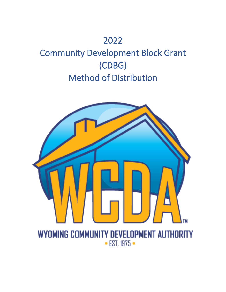## 2022

# Community Development Block Grant (CDBG) Method of Distribution

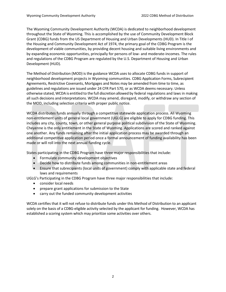The Wyoming Community Development Authority (WCDA) is dedicated to neighborhood development throughout the State of Wyoming. This is accomplished by the use of Community Development Block Grant (CDBG) funds from the US Department of Housing and Urban Developments (HUD). In Title I of the Housing and Community Development Act of 1974, the primary goal of the CDBG Program is the development of viable communities, by providing decent housing and suitable living environments and by expanding economic opportunities, principally for persons of low- and moderate-incomes. The rules and regulations of the CDBG Program are regulated by the U.S. Department of Housing and Urban Development (HUD).

The Method of Distribution (MOD) is the guidance WCDA uses to allocate CDBG funds in support of neighborhood development projects in Wyoming communities. CDBG Application Forms, Subrecipient Agreements, Restrictive Covenants, Mortgages and Notes may be amended from time to time, as guidelines and regulations are issued under 24 CFR Part 570, or as WCDA deems necessary. Unless otherwise stated, WCDA is entitled to the full discretion allowed by federal regulations and laws in making all such decisions and interpretations. WCDA may amend, disregard, modify, or withdraw any section of the MOD, including selection criteria with proper public notice.

WCDA distributes funds annually through a competitive statewide application process. All Wyoming non-entitlement units of general local government (UGLG) are eligible to apply for CDBG funding. This includes any city, county, town, or other general purpose political subdivision of the State of Wyoming. Cheyenne is the only entitlement in the State of Wyoming. Applications are scored and ranked against one another. Any funds remaining after the initial application process may be awarded through an additional competitive application period once a formal announcement of funding availability has been made or will roll into the next annual funding cycle.

States participating in the CDBG Program have three major responsibilities that include:

- Formulate community development objectives
- Decide how to distribute funds among communities in non-entitlement areas
- Ensure that subrecipients (local units of government) comply with applicable state and federal laws and requirements

UGLG's Participating in the CDBG Program have three major responsibilities that include:

- consider local needs
- prepare grant applications for submission to the State
- carry out the funded community development activities

WCDA certifies that it will not refuse to distribute funds under this Method of Distribution to an applicant solely on the basis of a CDBG-eligible activity selected by the applicant for funding. However, WCDA has established a scoring system which may prioritize some activities over others.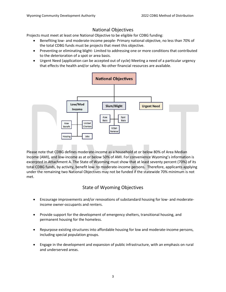## National Objectives

Projects must meet at least one National Objective to be eligible for CDBG funding:

- Benefiting low- and moderate-income people- Primary national objective, no less than 70% of the total CDBG funds must be projects that meet this objective.
- Preventing or eliminating blight- Limited to addressing one or more conditions that contributed to the deterioration of a spot or area basis.
- Urgent Need (application can be accepted out of cycle) Meeting a need of a particular urgency that effects the health and/or safety. No other financial resources are available.



Please note that CDBG defines moderate-income as a household at or below 80% of Area Median Income (AMI), and low-income as at or below 50% of AMI. For convenience Wyoming's information is excerpted in Attachment A. The State of Wyoming must show that at least seventy percent (70%) of its total CDBG funds, by activity, benefit low- to moderate-income persons. Therefore, applicants applying under the remaining two National Objectives may not be funded if the statewide 70% minimum is not met.

## State of Wyoming Objectives

- Encourage improvements and/or renovations of substandard housing for low- and moderateincome owner-occupants and renters.
- Provide support for the development of emergency shelters, transitional housing, and permanent housing for the homeless.
- Repurpose existing structures into affordable housing for low and moderate-income persons, including special population groups.
- Engage in the development and expansion of public infrastructure, with an emphasis on rural and underserved areas.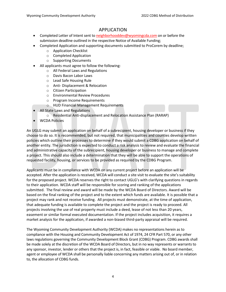## APPLICATION

- Completed Letter of Intent sent t[o neighborhooddev@wyomingcda.com](mailto:neighborhooddev@wyomingcda.com) on or before the submission deadline outlined in the respective Notice of Available Funding;
- Completed Application and supporting documents submitted to ProCorem by deadline;
	- o Application Checklist
	- o Completed Application
	- o Supporting Documents
- All applicants must agree to follow the following:
	- o All Federal Laws and Regulations
	- o Davis Bacon Labor Laws
	- o Lead Safe Housing Rule
	- o Anti- Displacement & Relocation
	- o Citizen Participation
	- o Environmental Review Procedures
	- o Program Income Requirements
	- o HUD Financial Management Requirements
- All State Laws and Regulations
	- o Residential Anti-displacement and Relocation Assistance Plan (RARAP)
- WCDA Policies

An UGLG may submit an application on behalf of a subrecipient, housing developer or business if they choose to do so. It is recommended, but not required, that municipalities and counties develop written policies which outline their processes to determine if they would submit a CDBG application on behalf of another entity. The jurisdiction is expected to conduct a risk analysis to review and evaluate the financial and administrative capacity of the subrecipient, housing developer or business to manage and complete a project. This should also include a determination that they will be able to support the operations of requested facility, housing, or services to be provided as required by the CDBG Program.

Applicants must be in compliance with WCDA on any current project before an application will be accepted. After the application is received, WCDA will conduct a site visit to evaluate the site's suitability for the proposed project. WCDA reserves the right to contact UGLG's with clarifying questions in regards to their application. WCDA staff will be responsible for scoring and ranking of the applications submitted. The final review and award will be made by the WCDA Board of Directors. Award will be based on the final ranking of the project and to the extent which funds are available. It is possible that a project may rank and not receive funding. All projects must demonstrate, at the time of application, that adequate funding is available to complete the project and the project is ready to proceed. All projects involving the use of real property must include a deed, lease of not less than 20 years, easement or similar formal executed documentation. If the project includes acquisition, it requires a market analysis for the application, if awarded a non-biased third-party appraisal will be required.

The Wyoming Community Development Authority (WCDA) makes no representations herein as to compliance with the Housing and Community Development Act of 1974, 24 CFR Part 570, or any other laws regulations governing the Community Development Block Grant (CDBG) Program. CDBG awards shall be made solely at the discretion of the WCDA Board of Directors, but in no way represents or warrants to any sponsor, investor, lender or others that the project is, in fact, feasible or viable. No board member, agent or employee of WCDA shall be personally liable concerning any matters arising out of, or in relation to, the allocation of CDBG funds.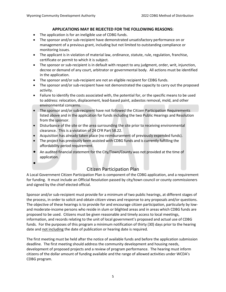## **APPLICATIONS MAY BE REJECTED FOR THE FOLLOWING REASONS:**

- The application is for an ineligible use of CDBG funds.
- The sponsor and/or sub-recipient have demonstrated unsatisfactory performance on or management of a previous grant, including but not limited to outstanding compliance or monitoring issues.
- The applicant is in violation of material law, ordinance, statute, rule, regulation, franchise, certificate or permit to which it is subject.
- The sponsor or sub-recipient is in default with respect to any judgment, order, writ, injunction, decree or demand of any court, arbitrator or governmental body. All actions must be identified in the application.
- The sponsor and/or sub-recipient are not an eligible recipient for CDBG funds.
- The sponsor and/or sub-recipient have not demonstrated the capacity to carry out the proposed activity.
- Failure to identify the costs associated with, the potential for, or the specific means to be used to address: relocation, displacement, lead-based paint, asbestos removal, mold, and other environmental concerns.
- The sponsor and/or sub-recipient have not followed the Citizen Participation Requirements listed above and in the application for funds including the two Public Hearings and Resolution from the sponsor.
- Disturbance of the site or the area surrounding the site prior to receiving environmental clearance. This is a violation of 24 CFR Part 58.22.
- Acquisition has already taken place (no reimbursement of previously expended funds).
- The project has previously been assisted with CDBG funds and is currently fulfilling the affordability period requirement.
- An audited financial statement for the City/Town/County was not provided at the time of application.
- •

## Citizen Participation Plan

A Local Government Citizen Participation Plan is component of the CDBG application, and a requirement for funding. It must include an Official Resolution passed by city/town council or county commissioners and signed by the chief elected official.

Sponsor and/or sub-recipient must provide for a minimum of two public hearings, at different stages of the process, in order to solicit and obtain citizen views and response to any proposals and/or questions. The objective of these hearings is to provide for and encourage citizen participation, particularly by lowand moderate-income persons who reside in slum or blighted areas and in areas which CDBG funds are proposed to be used. Citizens must be given reasonable and timely access to local meetings, information, and records relating to the unit of local government's proposed and actual use of CDBG funds. For the purposes of this program a minimum notification of thirty (30) days prior to the hearing date and not including the date of publication or hearing date is required.

The first meeting must be held after the notice of available funds and before the application submission deadline. The first meeting should address the community development and housing needs, development of proposed projects and a review of program performance. The hearing must inform citizens of the dollar amount of funding available and the range of allowed activities under WCDA's CDBG program.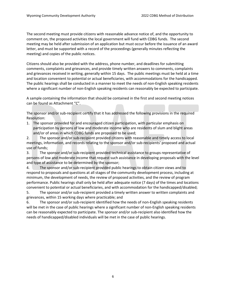The second meeting must provide citizens with reasonable advance notice of, and the opportunity to comment on, the proposed activities the local government will fund with CDBG funds. The second meeting may be held after submission of an application but must occur before the issuance of an award letter, and must be supported with a record of the proceedings (generally minutes reflecting the meeting) and copies of the public notices.

Citizens should also be provided with the address, phone number, and deadlines for submitting comments, complaints and grievances, and provide timely written answers to comments, complaints and grievances received in writing, generally within 15 days. The public meetings must be held at a time and location convenient to potential or actual beneficiaries, with accommodations for the handicapped. The public hearings shall be conducted in a manner to meet the needs of non-English speaking residents where a significant number of non-English speaking residents can reasonably be expected to participate.

A sample containing the information that should be contained in the first and second meeting notices can be found as Attachment "C".

The sponsor and/or sub-recipient certify that it has addressed the following provisions in the required Resolution:

1. The sponsor provided for and encouraged citizen participation, with particular emphasis on participation by persons of low and moderate income who are residents of slum and blight areas and/or of areas in which CDBG funds are proposed to be used;

2. The sponsor and/or sub-recipient provided citizens with reasonable and timely access to local meetings, information, and records relating to the sponsor and/or sub-recipients' proposed and actual use of funds;

3. The sponsor and/or sub-recipient provided technical assistance to groups representative of persons of low and moderate income that request such assistance in developing proposals with the level and type of assistance to be determined by the sponsor;

4. The sponsor and/or sub-recipient provided public hearings to obtain citizen views and to respond to proposals and questions at all stages of the community development process, including at minimum, the development of needs, the review of proposed activities, and the review of program performance. Public hearings shall only be held after adequate notice (7 days) of the times and locations convenient to potential or actual beneficiaries, and with accommodation for the handicapped/disabled;

5. The sponsor and/or sub-recipient provided a timely written answer to written complaints and grievances, within 15 working days where practicable; and

6. The sponsor and/or sub-recipient identified how the needs of non-English speaking residents will be met in the case of public hearings where a significant number of non-English speaking residents can be reasonably expected to participate. The sponsor and/or sub-recipient also identified how the needs of handicapped/disabled individuals will be met in the case of public hearings.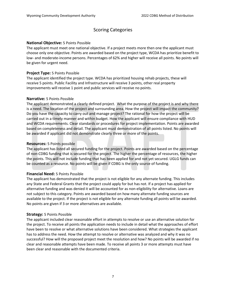## Scoring Categories

#### **National Objective:** 5 Points Possible

The applicant must meet one national objective. If a project meets more then one the applicant must choose only one objective. Points are awarded based on the project type, WCDA has prioritize benefit to low- and moderate-income persons. Percentages of 62% and higher will receive all points. No points will be given for urgent need.

#### **Project Type:** 5 Points Possible

The applicant identified the project type. WCDA has prioritized housing rehab projects, these will receive 5 points. Public Facility and Infrastructure will receive 3 points, other real property improvements will receive 1 point and public services will receive no points.

#### **Narrative:** 5 Points Possible

The applicant demonstrated a clearly defined project. What the purpose of the project is and why there is a need. The location of the project and surrounding area. How the project will impact the community? Do you have the capacity to carry out and manage project? The rational for how the project will be carried out in a timely manner and within budget. How the applicant will ensure compliance with HUD and WCDA requirements. Clear standards or procedures for project implementation. Points are awarded based on completeness and detail. The applicant must demonstration of all points listed. No points will be awarded if applicant did not demonstrate clearly three or more of the points.

#### **Resources:** 5 Points possible

The applicant has listed all secured funding for the project. Points are awarded based on the percentage of non-CDBG funding that is secured for the project. The higher the percentage of resources, the higher the points. This will not include funding that has been applied for and not yet secured. UGLG funds can be counted as a resource. No points will be given if CDBG is the only source of funding.

#### **Financial Need:** 5 Points Possible

The applicant has demonstrated that the project is not eligible for any alternate funding. This includes any State and Federal Grants that the project could apply for but has not. If a project has applied for alternative funding and was denied it will be accounted for as non-eligibility for alternative. Loans are not subject to this category. Points are awarded based on how many alternate funding sources are available to the project. If the project is not eligible for any alternate funding all points will be awarded. No points are given if 3 or more alternatives are available.

#### **Strategy:** 5 Points Possible

The applicant included clear reasonable effort in attempts to resolve or use an alternative solution for the project. To receive all points the application needs to include in detail what the approaches of effort have been to resolve or what alternative solutions have been considered. What strategies the applicant has to address the need. How the attempt to resolve or alternative was analyzed and why it was no successful? How will the proposed project meet the resolution and how? No points will be awarded if no clear and reasonable attempts have been made. To receive all points 3 or more attempts must have been clear and reasonable with the documented criteria.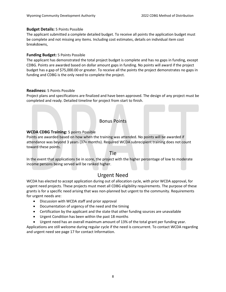#### **Budget Details:** 5 Points Possible

The applicant submitted a complete detailed budget. To receive all points the application budget must be complete and not missing any items. Including cost estimates, details on individual item cost breakdowns,

## **Funding Budget:** 5 Points Possible

The applicant has demonstrated the total project budget is complete and has no gaps in funding, except CDBG. Points are awarded based on dollar amount gaps in funding. No points will award if the project budget has a gap of \$75,000.00 or greater. To receive all the points the project demonstrates no gaps in funding and CDBG is the only need to complete the project.

## **Readiness:** 5 Points Possible

Project plans and specifications are finalized and have been approved. The design of any project must be completed and ready. Detailed timeline for project from start to finish.

## Bonus Points

## **WCDA CDBG Training:** 5 points Possible

Points are awarded based on how when the training was attended. No points will be awarded if attendance was beyond 3 years (37+ months). Required WCDA subrecipient training does not count toward these points.

## Tie

In the event that applications tie in score, the project with the higher percentage of low to moderate income persons being served will be ranked higher.

## Urgent Need

WCDA has elected to accept application during out of allocation cycle, with prior WCDA approval, for urgent need projects. These projects must meet all CDBG eligibility requirements. The purpose of these grants is for a specific need arising that was non-planned but urgent to the community. Requirements for urgent needs are:

- Discussion with WCDA staff and prior approval
- Documentation of urgency of the need and the timing
- Certification by the applicant and the state that other funding sources are unavailable
- Urgent Condition has been within the past 18 months
- Urgent need has an overall maximum amount of 13% of the total grant per funding year.

Applications are still welcome during regular cycle if the need is concurrent. To contact WCDA regarding and urgent need see page 17 for contact Information.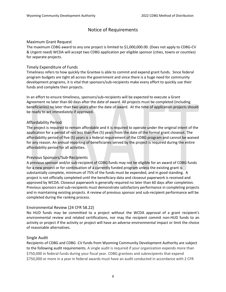## Notice of Requirements

## Maximum Grant Request

The maximum CDBG award to any one project is limited to \$1,000,000.00. (Does not apply to CDBG-CV & Urgent need) WCDA will accept two CDBG application per eligible sponsor (cities, towns or counties) for separate projects.

#### Timely Expenditure of Funds

Timeliness refers to how quickly the Grantee is able to commit and expend grant funds. Since federal program budgets are tight all across the government and since there is a huge need for community development programs, it is vital that sponsors/sub-recipients make every effort to quickly use their funds and complete their projects.

In an effort to ensure timeliness, sponsors/sub-recipients will be expected to execute a Grant Agreement no later than 60 days after the date of award. All projects must be completed (including beneficiaries) no later than two years after the date of award. At the time of application projects should be ready to act immediately if approved.

## Affordability Period

The project is required to remain affordable and it is required to operate under the original intent of the application for a period of not less than five (5) years from the date of the formal grant closeout. The affordability period of five (5) years is a federal requirement of the CDBG program and cannot be waived for any reason. An annual reporting of beneficiaries served by the project is required during the entire affordability period for all activities.

## Previous Sponsors/Sub-Recipients

A previous sponsor and/or sub-recipient of CDBG funds may not be eligible for an award of CDBG funds for a new project or for continuation of a currently funded program unless the existing grant is substantially complete, minimum of 75% of the funds must be expended, and in good standing. A project is not officially completed until the beneficiary data and closeout paperwork is received and approved by WCDA. Closeout paperwork is generally required no later than 60 days after completion. Previous sponsors and sub-recipients must demonstrate satisfactory performance in completing projects and in maintaining existing projects. A review of previous sponsor and sub-recipient performance will be completed during the ranking process.

## Environmental Review (24 CFR 58.22)

No HUD funds may be committed to a project without the WCDA approval of a grant recipient's environmental review and related certifications, nor may the recipient commit non-HUD funds to an activity or project if the activity or project will have an adverse environmental impact or limit the choice of reasonable alternatives.

#### Single Audit

Recipients of CDBG and CDBG -CV funds from Wyoming Community Development Authority are subject to the following audit requirements. A single audit is required if your organization expends more than \$750,000 in federal funds during your fiscal year. CDBG grantees and subrecipients that expend \$750,000 or more in a year in federal awards must have an audit conducted in accordance with 2 CFR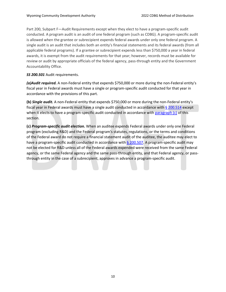Part 200, Subpart F—Audit Requirements except when they elect to have a program-specific audit conducted. A program audit is an audit of one federal program (such as CDBG). A program-specific audit is allowed when the grantee or subrecipient expends federal awards under only one federal program. A single audit is an audit that includes both an entity's financial statements and its federal awards (from all applicable federal programs). If a grantee or subrecipient expends less than \$750,000 a year in federal awards, it is exempt from the audit requirements for that year; however, records must be available for review or audit by appropriate officials of the federal agency, pass-through entity and the Government Accountability Office.

## *SS 200.501* Audit requirements.

*(a)Audit required.* A non-Federal entity that expends \$750,000 or more during the non-Federal entity's fiscal year in Federal awards must have a single or program-specific audit conducted for that year in accordance with the provisions of this part.

**(b)** *Single audit.* A non-Federal entity that expends \$750,000 or more during the non-Federal entity's fiscal year in Federal awards must have a single audit conducted in accordance with [§ 200.514](https://www.ecfr.gov/current/title-2/section-200.514) except when it elects to have a program-specific audit conducted in accordance with [paragraph \(c\)](https://www.ecfr.gov/current/title-2/section-200.501#p-200.501(c)) of this section.

**(c)** *Program-specific audit election.* When an auditee expends Federal awards under only one Federal program (excluding R&D) and the Federal program's statutes, regulations, or the terms and conditions of the Federal award do not require a financial statement audit of the auditee, the auditee may elect to have a program-specific audit conducted in accordance with  $\S$  200.507. A program-specific audit may not be elected for R&D unless all of the Federal awards expended were received from the same Federal agency, or the same Federal agency and the same pass-through entity, and that Federal agency, or passthrough entity in the case of a subrecipient, approves in advance a program-specific audit.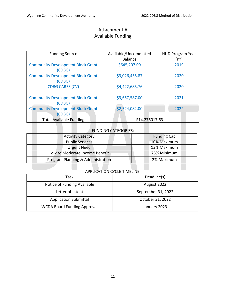## Attachment A Available Funding

| <b>Funding Source</b>                                    | Available/Uncommitted | <b>HUD Program Year</b> |  |  |
|----------------------------------------------------------|-----------------------|-------------------------|--|--|
|                                                          | <b>Balance</b>        | (PY)                    |  |  |
| <b>Community Development Block Grant</b><br>(CDBG)       | \$645,207.00          | 2019                    |  |  |
| <b>Community Development Block Grant</b><br>(CDBG)       | \$3,026,455.87        | 2020                    |  |  |
| <b>CDBG CARES (CV)</b>                                   | \$4,422,685.76        | 2020                    |  |  |
| <b>Community Development Block Grant</b><br>(CDBG)       | \$3,657,587.00        | 2021                    |  |  |
| <b>Community Development Block Grant</b><br><b>CDBG)</b> | \$2,524,082.00        | 2022                    |  |  |
| <b>Total Available Funding</b>                           | \$14,276017.63        |                         |  |  |

## FUNDING CATEGORIES:

| <b>Activity Category</b>          | <b>Funding Cap</b> |
|-----------------------------------|--------------------|
| <b>Public Services</b>            | 10% Maximum        |
| <b>Urgent Need</b>                | 13% Maximum        |
| Low to Moderate Income Benefit    | 75% Minimum        |
| Program Planning & Administration | 2% Maximum         |

## APPLICATION CYCLE TIMELINE:

| Task                               | Deadline(s)        |
|------------------------------------|--------------------|
| Notice of Funding Available        | August 2022        |
| Letter of Intent                   | September 31, 2022 |
| <b>Application Submittal</b>       | October 31, 2022   |
| <b>WCDA Board Funding Approval</b> | January 2023       |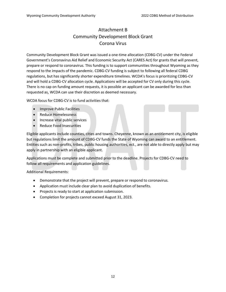## Attachment B Community Development Block Grant Corona Virus

Community Development Block Grant was issued a one-time allocation (CDBG-CV) under the Federal Government's Coronavirus Aid Relief and Economic Security Act (CARES Act) for grants that will prevent, prepare or respond to coronavirus. This funding is to support communities throughout Wyoming as they respond to the impacts of the pandemic. CDBG-CV funding is subject to following all federal CDBG regulations, but has significantly shorter expenditure timelines. WCDA's focus is prioritizing CDBG-CV and will hold a CDBG-CV allocation cycle. Applications will be accepted for CV only during this cycle. There is no cap on funding amount requests, it is possible an applicant can be awarded for less than requested as, WCDA can use their discretion as deemed necessary.

WCDA focus for CDBG-CV is to fund activities that:

- Improve Public Facilities
- Reduce Homelessness
- Increase vital public services
- Reduce Food Insecurities

Eligible applicants include counties, cities and towns. Cheyenne, known as an entitlement city, is eligible but regulations limit the amount of CDBG-CV funds the State of Wyoming can award to an entitlement. Entities such as non-profits, tribes, public housing authorities, ect., are not able to directly apply but may apply in partnership with an eligible applicant.

Applications must be complete and submitted prior to the deadline. Projects for CDBG-CV need to follow all requirements and application guidelines.

Additional Requirements:

- Demonstrate that the project will prevent, prepare or respond to coronavirus.
- Application must include clear plan to avoid duplication of benefits.
- Projects is ready to start at application submission.
- Completion for projects cannot exceed August 31, 2023.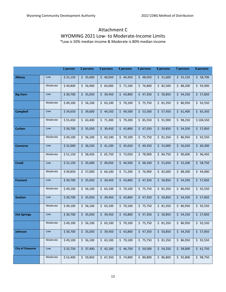## Attachment C WYOMING 2021 Low- to Moderate-Income Limits

\*Low is 50% median income & Moderate is 80% median income

|                         |          | 1 person | 2 persons | 3 persons | 4 persons | 5 persons | 6 persons             | 7 persons | 8 persons |
|-------------------------|----------|----------|-----------|-----------|-----------|-----------|-----------------------|-----------|-----------|
| <b>Albany</b>           | Low      | \$31,150 | \$35,600  | \$40,050  | \$44,450  | \$48,050  | \$1,600               | \$55,150  | \$58,700  |
|                         | Moderate | \$49,800 | \$56,900  | \$64,000  | \$71,100  | \$76,800  | \$2,500               | \$88,200  | \$93,900  |
| <b>Big Horn</b>         | Low      | \$30,700 | \$35,050  | \$39,450  | \$43,800  | \$47,350  | \$50,850              | \$54,350  | \$57,850  |
|                         | Moderate | \$49,100 | \$56,100  | \$63,100  | \$70,100  | \$75,750  | \$31,350              | \$86,950  | \$92,550  |
| <b>Campbell</b>         | Low      | \$34,650 | \$39,600  | \$44,550  | \$49,500  | \$53,500  | \$57,450              | \$61,400  | \$65,350  |
|                         | Moderate | \$55,450 | \$63,400  | \$71,300  | \$79,200  | \$85,550  | \$91,900              | \$98,250  | \$104,550 |
| Carbon                  | Low      | \$30,700 | \$35,050  | \$39,450  | \$43,800  | \$47,350  | \$50,850              | \$54,350  | \$ 57,850 |
|                         | Moderate | \$49,100 | \$56,100  | \$63,100  | \$70,100  | \$75,750  | \$31,350              | \$86,950  | \$92,550  |
| <b>Converse</b>         | Low      | \$32,000 | \$36,550  | \$41,100  | \$45,650  | \$49,350  | \$53,000              | \$56,650  | \$60,300  |
|                         | Moderate | \$51,150 | \$58,450  | \$65,750  | \$73,050  | \$78,900  | \$84,750              | \$90,600  | \$96,450  |
| <b>Crook</b>            | Low      | \$31,150 | \$35,600  | \$40,050  | \$44,500  | \$48,100  | \$1,650               | \$5,200   | \$58,750  |
|                         | Moderate | \$49,850 | \$57,000  | \$64,100  | \$71,200  | \$76,900  | \$2,600               | \$88,300  | \$94,000  |
| <b>Fremont</b>          | Low      | \$30,700 | \$35,050  | \$39,450  | \$43,800  | \$47,350  | \$50,850              | \$54,350  | \$ 57,850 |
|                         | Moderate | \$49,100 | \$56,100  | \$63,100  | \$70,100  | \$75,750  | \$31,350              | \$86,950  | \$92,550  |
| Goshen                  | Low      | \$30,700 | \$35,050  | \$39,450  | \$43,800  | \$47,350  | \$50,850              | \$54,350  | \$57,850  |
|                         | Moderate | \$49,100 | \$56,100  | \$63,100  | \$70,100  | \$75,750  | \$31,350              | \$86,950  | \$92,550  |
| <b>Hot Springs</b>      | Low      | \$30,700 | \$35,050  | \$39,450  | \$43,800  | \$47,350  | \$50,850              | \$54,350  | \$ 57,850 |
|                         | Moderate | \$49,100 | \$56,100  | \$63,100  | \$70,100  | \$75,750  | $\overline{5}$ 81,350 | \$86,950  | \$92,550  |
| Johnson                 | Low      | \$30,700 | \$35,050  | \$39,450  | \$43,800  | \$47,350  | \$50,850              | \$54,350  | \$57,850  |
|                         | Moderate | \$49,100 | \$56,100  | \$63,100  | \$70,100  | \$75,750  | \$31,350              | \$86,950  | \$92,550  |
| <b>City of Cheyenne</b> | Low      | \$32,750 | \$37,400  | \$42,100  | \$46,750  | \$50,500  | \$54,250              | \$58,000  | \$61,750  |
|                         | Moderate | \$52,400 | \$59,850  | \$67,350  | \$74,800  | \$80,800  | \$86,800              | \$92,800  | \$98,750  |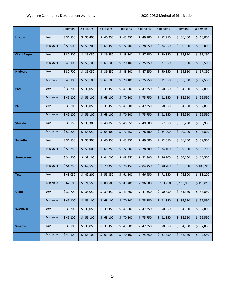|                       |            | 1 person | 2 persons | 3 persons            | 4 persons                         | 5 persons | 6 persons | 7 persons  | 8 persons |
|-----------------------|------------|----------|-----------|----------------------|-----------------------------------|-----------|-----------|------------|-----------|
| Lincoln               | Low        | \$31,850 | \$36,400  | \$40,950             | \$45,450                          | \$49,100  | \$52,750  | \$56,400   | \$60,000  |
|                       | Moderate   | \$50,900 | \$58,200  | \$65,450             | \$72,700                          | \$78,550  | \$84,350  | \$90,150   | \$96,000  |
| <b>City of Casper</b> | Low        | \$30,700 | \$35,050  | \$39,450             | \$43,800                          | \$47,350  | \$50,850  | \$54,350   | \$57,850  |
|                       | Moderate   | \$49,100 | \$56,100  | \$63,100             | \$70,100                          | \$75,750  | \$31,350  | \$86,950   | \$92,550  |
| <b>Niobrara</b>       | Low        | \$30,700 | \$35,050  | \$39,450             | \$43,800                          | \$47,350  | \$50,850  | \$54,350   | \$57,850  |
|                       | Moderate   | \$49,100 | \$56,100  | \$63,100             | \$70,100                          | \$75,750  | \$31,350  | \$86,950   | \$92,550  |
| Park                  | Low        | \$30,700 | \$35,050  | \$39,450             | \$43,800                          | \$47,350  | \$50,850  | \$54,350   | \$57,850  |
|                       | Moderate   | \$49,100 | \$56,100  | \$63,100             | \$70,100                          | \$75,750  | \$31,350  | \$86,950   | \$92,550  |
| <b>Platte</b>         | Low        | \$30,700 | \$35,050  | \$39,450             | \$43,800                          | \$47,350  | \$50,850  | \$54,350   | \$57,850  |
|                       | Moderate   | \$49,100 | \$56,100  | \$63,100             | \$70,100                          | \$75,750  | \$31,350  | \$86,950   | \$92,550  |
| <b>Sheridan</b>       | Low        | \$31,750 | \$36,300  | \$40,850             | \$45,350                          | \$49,000  | \$52,650  | \$56,250   | \$59,900  |
|                       | Moderate   | \$50,800 | \$58,050  | \$65,300             | \$72,550                          | \$78,400  | \$84,200  | \$90,000   | \$95,800  |
| <b>Sublette</b>       | Low        | \$31,750 | \$36,300  | \$40,850             | \$45,350                          | \$49,000  | \$ 52,650 | \$56,250   | \$59,900  |
|                       | Moderate   | \$50,750 | \$58,000  | \$65,250             | \$72,500                          | \$78,300  | \$84,100  | \$89,900   | \$95,700  |
| <b>Sweetwater</b>     | Low        | \$34,200 | \$39,100  | \$44,000             | \$48,850                          | \$52,800  | \$56,700  | \$60,600   | \$64,500  |
|                       | Moderate   | \$54,750 | \$62,550  | \$70,350             | \$78,150                          | \$84,450  | \$90,700  | \$96,950   | \$103,200 |
| Teton                 | Low        | \$43,050 | \$49,200  | \$55,350             | \$61,500                          | \$66,450  | \$71,350  | \$76,300   | \$31,200  |
|                       | Moderate   | \$62,600 | \$71,550  | \$80,500             | \$9,400                           | \$96,600  | \$103,750 | \$110,900  | \$118,050 |
| <b>Uinta</b>          | <b>LOW</b> | \$30,700 | \$35,050  | $\frac{1}{5}$ 39,450 | $\frac{1}{2}$ \$ 43,800 \$ 47,350 |           | 50,850    | 5, 54, 350 | 5 57,850  |
|                       | Moderate   | \$49,100 | \$56,100  | \$63,100             | \$70,100                          | \$75,750  | \$31,350  | \$86,950   | \$92,550  |
| Washakie              | Low        | \$30,700 | \$35,050  | \$39,450             | \$43,800                          | \$47,350  | \$50,850  | \$54,350   | \$57,850  |
|                       | Moderate   | \$49,100 | \$56,100  | \$63,100             | \$70,100                          | \$75,750  | \$31,350  | \$86,950   | \$92,550  |
| <b>Weston</b>         | Low        | \$30,700 | \$35,050  | \$39,450             | \$43,800                          | \$47,350  | \$50,850  | \$54,350   | \$57,850  |
|                       | Moderate   | \$49,100 | \$56,100  | \$63,100             | \$70,100                          | \$75,750  | \$31,350  | \$86,950   | \$92,550  |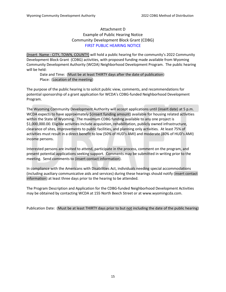## Attachment D Example of Public Hearing Notice Community Development Block Grant (CDBG) FIRST PUBLIC HEARING NOTICE

(Insert Name - CITY, TOWN, COUNTY) will hold a public hearing for the community's 2022 Community Development Block Grant (CDBG) activities, with proposed funding made available from Wyoming Community Development Authority (WCDA) Neighborhood Development Program. The public hearing will be held:

#### Date and Time: (Must be at least THIRTY days after the date of publication) Place: (Location of the meeting)

The purpose of the public hearing is to solicit public view, comments, and recommendations for potential sponsorship of a grant application for WCDA's CDBG-funded Neighborhood Development Program.

The Wyoming Community Development Authority will accept applications until (insert date) at 5 p.m. WCDA expects to have approximately \$(insert funding amount) available for housing related activities within the State of Wyoming. The maximum CDBG funding available to any one project is \$1,000,000.00. Eligible activities include acquisition, rehabilitation, publicly owned infrastructure, clearance of sites, improvements to public facilities, and planning only activities. At least 75% of activities must result in a direct benefit to low (50% of HUD's AMI) and moderate (80% of HUD's AMI) income persons.

Interested persons are invited to attend, participate in the process, comment on the program, and present potential applications seeking support. Comments may be submitted in writing prior to the meeting. Send comments to (insert contact information).

In compliance with the Americans with Disabilities Act, individuals needing special accommodations (including auxiliary communicative aids and services) during these hearings should notify (insert contact information) at least three days prior to the hearing to be attended.

The Program Description and Application for the CDBG-funded Neighborhood Development Activities may be obtained by contacting WCDA at 155 North Beech Street or at www.wyomingcda.com.

Publication Date: (Must be at least THIRTY days prior to but not including the date of the public hearing)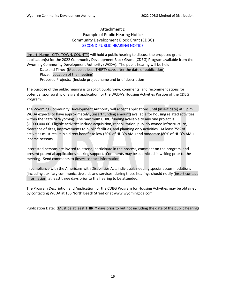## Attachment D Example of Public Hearing Notice Community Development Block Grant (CDBG) SECOND PUBLIC HEARING NOTICE

(Insert Name - CITY, TOWN, COUNTY) will hold a public hearing to discuss the proposed grant application(s) for the 2022 Community Development Block Grant (CDBG) Program available from the Wyoming Community Development Authority (WCDA). The public hearing will be held:

Date and Time: (Must be at least THIRTY days after the date of publication) Place: (Location of the meeting) Proposed Projects: (Include project name and brief description

The purpose of the public hearing is to solicit public view, comments, and recommendations for potential sponsorship of a grant application for the WCDA's Housing Activities Portion of the CDBG Program.

The Wyoming Community Development Authority will accept applications until (insert date) at 5 p.m. WCDA expects to have approximately \$(insert funding amount) available for housing related activities within the State of Wyoming. The maximum CDBG funding available to any one project is \$1,000,000.00. Eligible activities include acquisition, rehabilitation, publicly owned infrastructure, clearance of sites, improvements to public facilities, and planning only activities. At least 75% of activities must result in a direct benefit to low (50% of HUD's AMI) and moderate (80% of HUD's AMI) income persons.

Interested persons are invited to attend, participate in the process, comment on the program, and present potential applications seeking support. Comments may be submitted in writing prior to the meeting. Send comments to (insert contact information).

In compliance with the Americans with Disabilities Act, individuals needing special accommodations (including auxiliary communicative aids and services) during these hearings should notify (insert contact information) at least three days prior to the hearing to be attended.

The Program Description and Application for the CDBG Program for Housing Activities may be obtained by contacting WCDA at 155 North Beech Street or at www.wyomingcda.com.

Publication Date: (Must be at least THIRTY days prior to but not including the date of the public hearing)